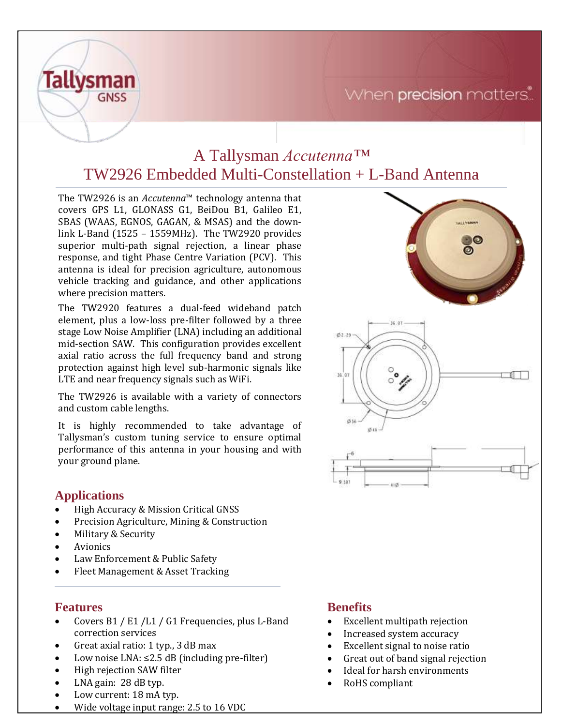# When precision matters.



The TW2926 is an *Accutenna*™ technology antenna that covers GPS L1, GLONASS G1, BeiDou B1, Galileo E1, SBAS (WAAS, EGNOS, GAGAN, & MSAS) and the downlink L-Band (1525 – 1559MHz). The TW2920 provides superior multi-path signal rejection, a linear phase response, and tight Phase Centre Variation (PCV). This antenna is ideal for precision agriculture, autonomous vehicle tracking and guidance, and other applications where precision matters.

The TW2920 features a dual-feed wideband patch element, plus a low-loss pre-filter followed by a three stage Low Noise Amplifier (LNA) including an additional mid-section SAW. This configuration provides excellent axial ratio across the full frequency band and strong protection against high level sub-harmonic signals like LTE and near frequency signals such as WiFi.

The TW2926 is available with a variety of connectors and custom cable lengths.

It is highly recommended to take advantage of Tallysman's custom tuning service to ensure optimal performance of this antenna in your housing and with your ground plane.

## **Applications**

**Tallysman** 

**GNSS** 

- High Accuracy & Mission Critical GNSS
- Precision Agriculture, Mining & Construction
- Military & Security
- **Avionics**
- Law Enforcement & Public Safety
- Fleet Management & Asset Tracking

#### **Features**

- Covers B1 / E1 /L1 / G1 Frequencies, plus L-Band correction services
- Great axial ratio: 1 typ., 3 dB max
- Low noise LNA: ≤2.5 dB (including pre-filter)
- High rejection SAW filter
- LNA gain: 28 dB typ.
- Low current: 18 mA typ.
- Wide voltage input range: 2.5 to 16 VDC

## **Benefits**

- Excellent multipath rejection
- Increased system accuracy
- Excellent signal to noise ratio
- Great out of band signal rejection
- Ideal for harsh environments
- RoHS compliant